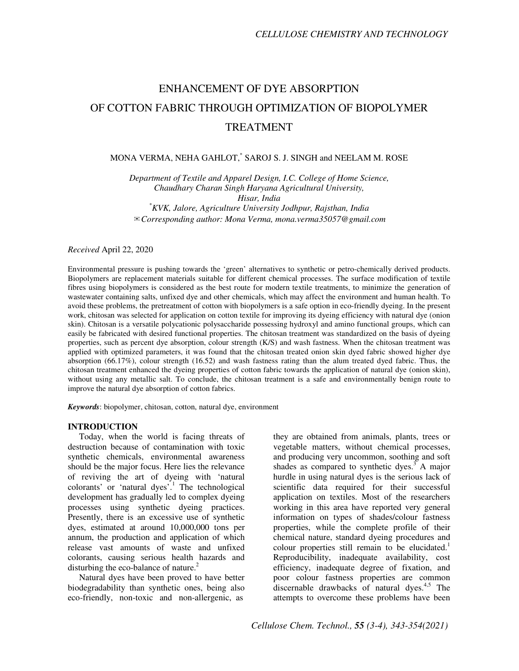# ENHANCEMENT OF DYE ABSORPTION OF COTTON FABRIC THROUGH OPTIMIZATION OF BIOPOLYMER TREATMENT

## MONA VERMA, NEHA GAHLOT,\* SAROJ S. J. SINGH and NEELAM M. ROSE

*Department of Textile and Apparel Design, I.C. College of Home Science, Chaudhary Charan Singh Haryana Agricultural University, Hisar, India \*KVK, Jalore, Agriculture University Jodhpur, Rajsthan, India*  ✉*Corresponding author: Mona Verma, mona.verma35057@gmail.com*

*Received* April 22, 2020

Environmental pressure is pushing towards the 'green' alternatives to synthetic or petro-chemically derived products. Biopolymers are replacement materials suitable for different chemical processes. The surface modification of textile fibres using biopolymers is considered as the best route for modern textile treatments, to minimize the generation of wastewater containing salts, unfixed dye and other chemicals, which may affect the environment and human health. To avoid these problems, the pretreatment of cotton with biopolymers is a safe option in eco-friendly dyeing. In the present work, chitosan was selected for application on cotton textile for improving its dyeing efficiency with natural dye (onion skin). Chitosan is a versatile polycationic polysaccharide possessing hydroxyl and amino functional groups, which can easily be fabricated with desired functional properties. The chitosan treatment was standardized on the basis of dyeing properties, such as percent dye absorption, colour strength (K/S) and wash fastness. When the chitosan treatment was applied with optimized parameters, it was found that the chitosan treated onion skin dyed fabric showed higher dye absorption (66.17%), colour strength (16.52) and wash fastness rating than the alum treated dyed fabric. Thus, the chitosan treatment enhanced the dyeing properties of cotton fabric towards the application of natural dye (onion skin), without using any metallic salt. To conclude, the chitosan treatment is a safe and environmentally benign route to improve the natural dye absorption of cotton fabrics.

*Keywords*: biopolymer, chitosan, cotton, natural dye, environment

#### **INTRODUCTION**

Today, when the world is facing threats of destruction because of contamination with toxic synthetic chemicals, environmental awareness should be the major focus. Here lies the relevance of reviving the art of dyeing with 'natural colorants' or 'natural dyes'.<sup>1</sup> The technological development has gradually led to complex dyeing processes using synthetic dyeing practices. Presently, there is an excessive use of synthetic dyes, estimated at around 10,000,000 tons per annum, the production and application of which release vast amounts of waste and unfixed colorants, causing serious health hazards and disturbing the eco-balance of nature.<sup>2</sup>

Natural dyes have been proved to have better biodegradability than synthetic ones, being also eco-friendly, non-toxic and non-allergenic, as

they are obtained from animals, plants, trees or vegetable matters, without chemical processes, and producing very uncommon, soothing and soft shades as compared to synthetic dyes. $3$  A major hurdle in using natural dyes is the serious lack of scientific data required for their successful application on textiles. Most of the researchers working in this area have reported very general information on types of shades/colour fastness properties, while the complete profile of their chemical nature, standard dyeing procedures and colour properties still remain to be elucidated.<sup>1</sup> Reproducibility, inadequate availability, cost efficiency, inadequate degree of fixation, and poor colour fastness properties are common discernable drawbacks of natural dyes. $4.5$  The attempts to overcome these problems have been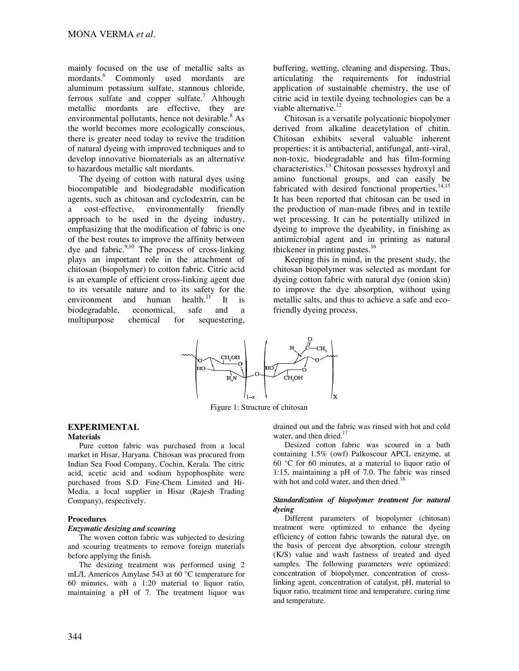mainly focused on the use of metallic salts as mordants.<sup>6</sup> Commonly used mordants are aluminum potassium sulfate, stannous chloride, ferrous sulfate and copper sulfate.<sup>7</sup> Although metallic mordants are effective, they are environmental pollutants, hence not desirable.<sup>8</sup> As the world becomes more ecologically conscious, there is greater need today to revive the tradition of natural dyeing with improved techniques and to develop innovative biomaterials as an alternative to hazardous metallic salt mordants.

The dyeing of cotton with natural dyes using biocompatible and biodegradable modification agents, such as chitosan and cyclodextrin, can be a cost-effective, environmentally friendly approach to be used in the dyeing industry, emphasizing that the modification of fabric is one of the best routes to improve the affinity between dye and fabric. $9,10$  The process of cross-linking plays an important role in the attachment of chitosan (biopolymer) to cotton fabric. Citric acid is an example of efficient cross-linking agent due to its versatile nature and to its safety for the environment and human health. $11$  It is biodegradable, economical, safe and a multipurpose chemical for sequestering,

buffering, wetting, cleaning and dispersing. Thus, articulating the requirements for industrial application of sustainable chemistry, the use of citric acid in textile dyeing technologies can be a viable alternative.<sup>12</sup>

Chitosan is a versatile polycationic biopolymer derived from alkaline deacetylation of chitin. Chitosan exhibits several valuable inherent properties: it is antibacterial, antifungal, anti-viral, non-toxic, biodegradable and has film-forming characteristics.<sup>13</sup> Chitosan possesses hydroxyl and amino functional groups, and can easily be fabricated with desired functional properties. $14,15$ It has been reported that chitosan can be used in the production of man-made fibres and in textile wet processing. It can be potentially utilized in dyeing to improve the dyeability, in finishing as antimicrobial agent and in printing as natural thickener in printing pastes.<sup>16</sup>

Keeping this in mind, in the present study, the chitosan biopolymer was selected as mordant for dyeing cotton fabric with natural dye (onion skin) to improve the dye absorption, without using metallic salts, and thus to achieve a safe and ecofriendly dyeing process.



Figure 1: Structure of chitosan

## **EXPERIMENTAL**

### **Materials**

Pure cotton fabric was purchased from a local market in Hisar, Haryana. Chitosan was procured from Indian Sea Food Company, Cochin, Kerala. The citric acid, acetic acid and sodium hypophosphite were purchased from S.D. Fine-Chem Limited and Hi-Media, a local supplier in Hisar (Rajesh Trading Company), respectively.

#### **Procedures**

#### *Enzymatic desizing and scouring*

The woven cotton fabric was subjected to desizing and scouring treatments to remove foreign materials before applying the finish.

The desizing treatment was performed using 2 mL/L Americos Amylase 543 at 60 °C temperature for 60 minutes, with a 1:20 material to liquor ratio, maintaining a pH of 7. The treatment liquor was drained out and the fabric was rinsed with hot and cold water, and then dried. $<sup>1</sup>$ </sup>

Desized cotton fabric was scoured in a bath containing 1.5% (owf) Palkoscour APCL enzyme, at 60 °C for 60 minutes, at a material to liquor ratio of 1:15, maintaining a pH of 7.0. The fabric was rinsed with hot and cold water, and then dried.<sup>18</sup>

#### *Standardization of biopolymer treatment for natural dyeing*

Different parameters of biopolymer (chitosan) treatment were optimized to enhance the dyeing efficiency of cotton fabric towards the natural dye, on the basis of percent dye absorption, colour strength (K/S) value and wash fastness of treated and dyed samples. The following parameters were optimized: concentration of biopolymer, concentration of crosslinking agent, concentration of catalyst, pH, material to liquor ratio, treatment time and temperature, curing time and temperature.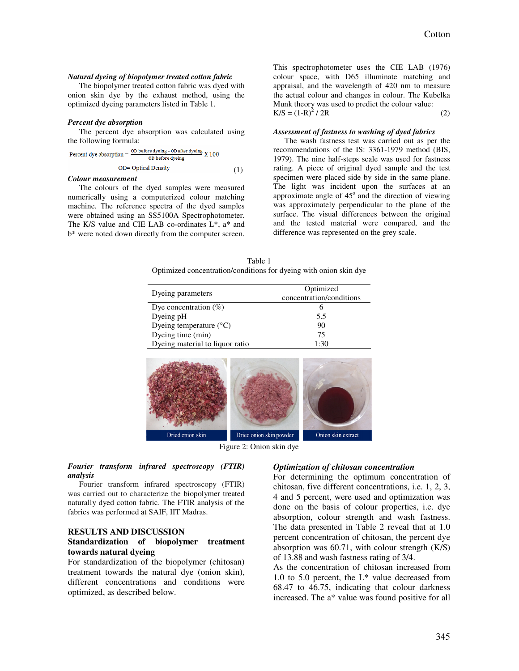#### *Natural dyeing of biopolymer treated cotton fabric*

The biopolymer treated cotton fabric was dyed with onion skin dye by the exhaust method, using the optimized dyeing parameters listed in Table 1.

#### *Percent dye absorption*

The percent dye absorption was calculated using the following formula:

Percent dye absorption = 
$$
\frac{OD \text{ before dyeing} - OD \text{ after dyeing}}{OD \text{ before dyeing}} \times 100
$$
  
OD= Optical Density (1)

#### *Colour measurement*

The colours of the dyed samples were measured numerically using a computerized colour matching machine. The reference spectra of the dyed samples were obtained using an SS5100A Spectrophotometer. The K/S value and CIE LAB co-ordinates L\*, a\* and b\* were noted down directly from the computer screen. This spectrophotometer uses the CIE LAB (1976) colour space, with D65 illuminate matching and appraisal, and the wavelength of 420 nm to measure the actual colour and changes in colour. The Kubelka Munk theory was used to predict the colour value:  $K/S = (1-R)^2 / 2R$  (2)

#### *Assessment of fastness to washing of dyed fabrics*

The wash fastness test was carried out as per the recommendations of the IS: 3361-1979 method (BIS, 1979). The nine half-steps scale was used for fastness rating. A piece of original dyed sample and the test specimen were placed side by side in the same plane. The light was incident upon the surfaces at an approximate angle of  $45^\circ$  and the direction of viewing was approximately perpendicular to the plane of the surface. The visual differences between the original and the tested material were compared, and the difference was represented on the grey scale.

Table 1 Optimized concentration/conditions for dyeing with onion skin dye

|                                 | Optimized                |
|---------------------------------|--------------------------|
| Dyeing parameters               | concentration/conditions |
| Dye concentration $(\%)$        | h                        |
| Dyeing pH                       | 5.5                      |
| Dyeing temperature (°C)         | 90                       |
| Dyeing time (min)               | 75                       |
| Dyeing material to liquor ratio | 1:30                     |
|                                 |                          |



Figure 2: Onion skin dye

*Fourier transform infrared spectroscopy (FTIR) analysis* 

Fourier transform infrared spectroscopy (FTIR) was carried out to characterize the biopolymer treated naturally dyed cotton fabric. The FTIR analysis of the fabrics was performed at SAIF, IIT Madras.

#### **RESULTS AND DISCUSSION Standardization of biopolymer treatment towards natural dyeing**

For standardization of the biopolymer (chitosan) treatment towards the natural dye (onion skin), different concentrations and conditions were optimized, as described below.

#### *Optimization of chitosan concentration*

For determining the optimum concentration of chitosan, five different concentrations, i.e. 1, 2, 3, 4 and 5 percent, were used and optimization was done on the basis of colour properties, i.e. dye absorption, colour strength and wash fastness. The data presented in Table 2 reveal that at 1.0 percent concentration of chitosan, the percent dye absorption was 60.71, with colour strength (K/S) of 13.88 and wash fastness rating of 3/4.

As the concentration of chitosan increased from 1.0 to 5.0 percent, the L\* value decreased from 68.47 to 46.75, indicating that colour darkness increased. The a\* value was found positive for all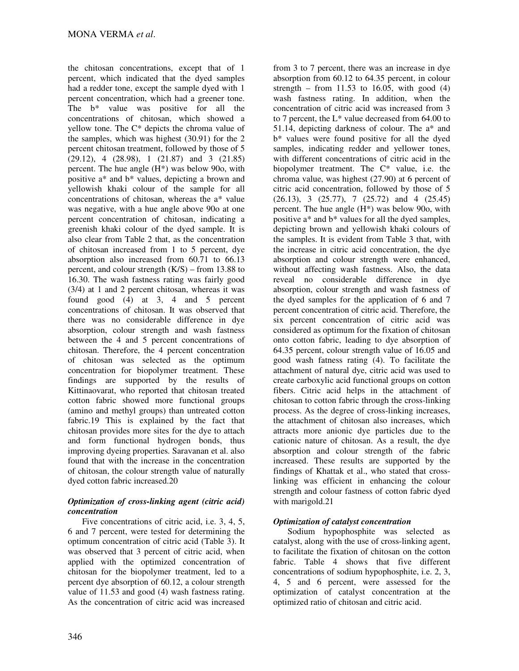the chitosan concentrations, except that of 1 percent, which indicated that the dyed samples had a redder tone, except the sample dyed with 1 percent concentration, which had a greener tone. The b\* value was positive for all the concentrations of chitosan, which showed a yellow tone. The C\* depicts the chroma value of the samples, which was highest (30.91) for the 2 percent chitosan treatment, followed by those of 5  $(29.12)$ , 4  $(28.98)$ , 1  $(21.87)$  and 3  $(21.85)$ percent. The hue angle (H\*) was below 90o, with positive a\* and b\* values, depicting a brown and yellowish khaki colour of the sample for all concentrations of chitosan, whereas the a\* value was negative, with a hue angle above 90o at one percent concentration of chitosan, indicating a greenish khaki colour of the dyed sample. It is also clear from Table 2 that, as the concentration of chitosan increased from 1 to 5 percent, dye absorption also increased from 60.71 to 66.13 percent, and colour strength (K/S) – from 13.88 to 16.30. The wash fastness rating was fairly good (3/4) at 1 and 2 percent chitosan, whereas it was found good (4) at 3, 4 and 5 percent concentrations of chitosan. It was observed that there was no considerable difference in dye absorption, colour strength and wash fastness between the 4 and 5 percent concentrations of chitosan. Therefore, the 4 percent concentration of chitosan was selected as the optimum concentration for biopolymer treatment. These findings are supported by the results of Kittinaovarat, who reported that chitosan treated cotton fabric showed more functional groups (amino and methyl groups) than untreated cotton fabric.19 This is explained by the fact that chitosan provides more sites for the dye to attach and form functional hydrogen bonds, thus improving dyeing properties. Saravanan et al. also found that with the increase in the concentration of chitosan, the colour strength value of naturally dyed cotton fabric increased.20

## *Optimization of cross-linking agent (citric acid) concentration*

Five concentrations of citric acid, i.e. 3, 4, 5, 6 and 7 percent, were tested for determining the optimum concentration of citric acid (Table 3). It was observed that 3 percent of citric acid, when applied with the optimized concentration of chitosan for the biopolymer treatment, led to a percent dye absorption of 60.12, a colour strength value of 11.53 and good (4) wash fastness rating. As the concentration of citric acid was increased

from 3 to 7 percent, there was an increase in dye absorption from 60.12 to 64.35 percent, in colour strength – from  $11.53$  to 16.05, with good  $(4)$ wash fastness rating. In addition, when the concentration of citric acid was increased from 3 to 7 percent, the L\* value decreased from 64.00 to 51.14, depicting darkness of colour. The a\* and b\* values were found positive for all the dyed samples, indicating redder and yellower tones, with different concentrations of citric acid in the biopolymer treatment. The C\* value, i.e. the chroma value, was highest (27.90) at 6 percent of citric acid concentration, followed by those of 5 (26.13), 3 (25.77), 7 (25.72) and 4 (25.45) percent. The hue angle (H\*) was below 90o, with positive a\* and b\* values for all the dyed samples, depicting brown and yellowish khaki colours of the samples. It is evident from Table 3 that, with the increase in citric acid concentration, the dye absorption and colour strength were enhanced, without affecting wash fastness. Also, the data reveal no considerable difference in dye absorption, colour strength and wash fastness of the dyed samples for the application of 6 and 7 percent concentration of citric acid. Therefore, the six percent concentration of citric acid was considered as optimum for the fixation of chitosan onto cotton fabric, leading to dye absorption of 64.35 percent, colour strength value of 16.05 and good wash fatness rating (4). To facilitate the attachment of natural dye, citric acid was used to create carboxylic acid functional groups on cotton fibers. Citric acid helps in the attachment of chitosan to cotton fabric through the cross-linking process. As the degree of cross-linking increases, the attachment of chitosan also increases, which attracts more anionic dye particles due to the cationic nature of chitosan. As a result, the dye absorption and colour strength of the fabric increased. These results are supported by the findings of Khattak et al., who stated that crosslinking was efficient in enhancing the colour strength and colour fastness of cotton fabric dyed with marigold.21

## *Optimization of catalyst concentration*

Sodium hypophosphite was selected as catalyst, along with the use of cross-linking agent, to facilitate the fixation of chitosan on the cotton fabric. Table 4 shows that five different concentrations of sodium hypophosphite, i.e. 2, 3, 4, 5 and 6 percent, were assessed for the optimization of catalyst concentration at the optimized ratio of chitosan and citric acid.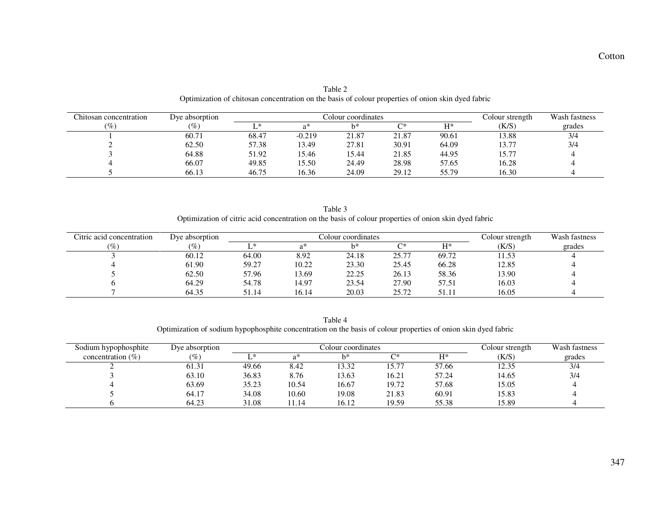| Chitosan concentration | Dye absorption |       |        | Colour coordinates |       | Colour strength | Wash fastness |        |
|------------------------|----------------|-------|--------|--------------------|-------|-----------------|---------------|--------|
| $\%$                   |                |       | ດ*     | $h^*$              | ∩∗    | $\mathbf{H}^*$  | (K/S)         | grades |
|                        | 60.71          | 68.47 | -0.219 | 21.87              | 21.87 | 90.61           | 13.88         | 3/4    |
|                        | 62.50          | 57.38 | 13.49  | 27.81              | 30.91 | 64.09           | 13.77         | 3/4    |
|                        | 64.88          | 51.92 | 5.46   | 15.44              | 21.85 | 44.95           | 15.77         |        |
|                        | 66.07          | 49.85 | 5.50   | 24.49              | 28.98 | 57.65           | 16.28         |        |
|                        | 66.13          | 46.75 | 16.36  | 24.09              | 29.12 | 55.79           | 16.30         |        |

Table 2 Optimization of chitosan concentration on the basis of colour properties of onion skin dyed fabric

Table 3 Optimization of citric acid concentration on the basis of colour properties of onion skin dyed fabric

| Citric acid concentration                  | Dye absorption  |       |       | Colour coordinates |       | Colour strength | Wash fastness |        |
|--------------------------------------------|-----------------|-------|-------|--------------------|-------|-----------------|---------------|--------|
| $\left( \frac{\partial}{\partial} \right)$ | $\mathscr{C}_0$ |       | ሳጥ    | h*                 | ∩∗    | $H^*$           | (K/S          | grades |
|                                            | 60.12           | 64.00 | 8.92  | 24.18              | 25.77 | 69.72           | 1.53          |        |
|                                            | 61.90           | 59.27 | 10.22 | 23.30              | 25.45 | 66.28           | 12.85         |        |
|                                            | 62.50           | 57.96 | 13.69 | 22.25              | 26.13 | 58.36           | 13.90         |        |
|                                            | 64.29           | 54.78 | 14.97 | 23.54              | 27.90 | 57.51           | 16.03         |        |
|                                            | 64.35           | 51.14 | 16.14 | 20.03              | 25.72 | 51.11           | 16.05         |        |

Table 4 Optimization of sodium hypophosphite concentration on the basis of colour properties of onion skin dyed fabric

| Sodium hypophosphite  | Dye absorption |       | Colour coordinates |       |       |       |       | Wash fastness |
|-----------------------|----------------|-------|--------------------|-------|-------|-------|-------|---------------|
| concentration $(\% )$ | $(\%)$         | ∗     | ົດ*                | h*    | ∩∗    | $H^*$ | (K/S) | grades        |
|                       | 61.31          | 49.66 | 8.42               | 13.32 | 15.77 | 57.66 | 12.35 | 3/4           |
|                       | 63.10          | 36.83 | 8.76               | 13.63 | 16.21 | 57.24 | 14.65 | 3/4           |
|                       | 63.69          | 35.23 | 10.54              | 16.67 | 19.72 | 57.68 | 15.05 |               |
|                       | 64.17          | 34.08 | 10.60              | 19.08 | 21.83 | 60.91 | 15.83 |               |
|                       | 64.23          | 31.08 | !1.14              | 16.12 | 19.59 | 55.38 | 15.89 |               |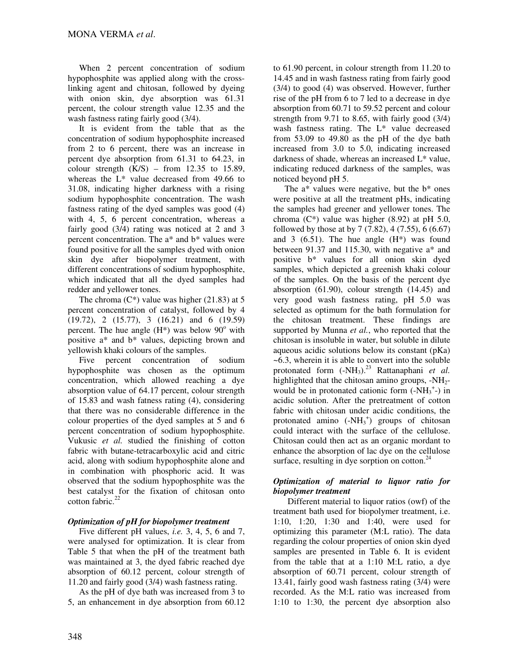When 2 percent concentration of sodium hypophosphite was applied along with the crosslinking agent and chitosan, followed by dyeing with onion skin, dye absorption was 61.31 percent, the colour strength value 12.35 and the wash fastness rating fairly good (3/4).

It is evident from the table that as the concentration of sodium hypophosphite increased from 2 to 6 percent, there was an increase in percent dye absorption from 61.31 to 64.23, in colour strength  $(K/S)$  – from 12.35 to 15.89, whereas the L\* value decreased from 49.66 to 31.08, indicating higher darkness with a rising sodium hypophosphite concentration. The wash fastness rating of the dyed samples was good (4) with 4, 5, 6 percent concentration, whereas a fairly good (3/4) rating was noticed at 2 and 3 percent concentration. The a\* and b\* values were found positive for all the samples dyed with onion skin dye after biopolymer treatment, with different concentrations of sodium hypophosphite, which indicated that all the dyed samples had redder and yellower tones.

The chroma  $(C^*)$  value was higher (21.83) at 5 percent concentration of catalyst, followed by 4 (19.72), 2 (15.77), 3 (16.21) and 6 (19.59) percent. The hue angle  $(H^*)$  was below  $90^\circ$  with positive a\* and b\* values, depicting brown and yellowish khaki colours of the samples.

Five percent concentration of sodium hypophosphite was chosen as the optimum concentration, which allowed reaching a dye absorption value of 64.17 percent, colour strength of 15.83 and wash fatness rating (4), considering that there was no considerable difference in the colour properties of the dyed samples at 5 and 6 percent concentration of sodium hypophosphite. Vukusic *et al.* studied the finishing of cotton fabric with butane-tetracarboxylic acid and citric acid, along with sodium hypophosphite alone and in combination with phosphoric acid. It was observed that the sodium hypophosphite was the best catalyst for the fixation of chitosan onto cotton fabric.<sup>22</sup>

## *Optimization of pH for biopolymer treatment*

Five different pH values, *i.e.* 3, 4, 5, 6 and 7, were analysed for optimization. It is clear from Table 5 that when the pH of the treatment bath was maintained at 3, the dyed fabric reached dye absorption of 60.12 percent, colour strength of 11.20 and fairly good (3/4) wash fastness rating.

As the pH of dye bath was increased from 3 to 5, an enhancement in dye absorption from 60.12 to 61.90 percent, in colour strength from 11.20 to 14.45 and in wash fastness rating from fairly good (3/4) to good (4) was observed. However, further rise of the pH from 6 to 7 led to a decrease in dye absorption from 60.71 to 59.52 percent and colour strength from 9.71 to 8.65, with fairly good (3/4) wash fastness rating. The L\* value decreased from 53.09 to 49.80 as the pH of the dye bath increased from 3.0 to 5.0, indicating increased darkness of shade, whereas an increased L\* value, indicating reduced darkness of the samples, was noticed beyond pH 5.

The  $a^*$  values were negative, but the  $b^*$  ones were positive at all the treatment pHs, indicating the samples had greener and yellower tones. The chroma  $(C^*)$  value was higher  $(8.92)$  at pH 5.0, followed by those at by  $7(7.82)$ ,  $4(7.55)$ ,  $6(6.67)$ and 3  $(6.51)$ . The hue angle  $(H^*)$  was found between 91.37 and 115.30, with negative a\* and positive b\* values for all onion skin dyed samples, which depicted a greenish khaki colour of the samples. On the basis of the percent dye absorption (61.90), colour strength (14.45) and very good wash fastness rating, pH 5.0 was selected as optimum for the bath formulation for the chitosan treatment. These findings are supported by Munna *et al.*, who reported that the chitosan is insoluble in water, but soluble in dilute aqueous acidic solutions below its constant (pKa) ~6.3, wherein it is able to convert into the soluble protonated form  $(-NH<sub>3</sub>)<sup>23</sup>$  Rattanaphani *et al.* highlighted that the chitosan amino groups,  $-NH<sub>2</sub>$ would be in protonated cationic form  $(-NH_3^{\,+})$  in acidic solution. After the pretreatment of cotton fabric with chitosan under acidic conditions, the protonated amino  $(-NH_3^+)$  groups of chitosan could interact with the surface of the cellulose. Chitosan could then act as an organic mordant to enhance the absorption of lac dye on the cellulose surface, resulting in dye sorption on cotton. $^{24}$ 

## *Optimization of material to liquor ratio for biopolymer treatment*

Different material to liquor ratios (owf) of the treatment bath used for biopolymer treatment, i.e. 1:10, 1:20, 1:30 and 1:40, were used for optimizing this parameter (M:L ratio). The data regarding the colour properties of onion skin dyed samples are presented in Table 6. It is evident from the table that at a 1:10 M:L ratio, a dye absorption of 60.71 percent, colour strength of 13.41, fairly good wash fastness rating (3/4) were recorded. As the M:L ratio was increased from 1:10 to 1:30, the percent dye absorption also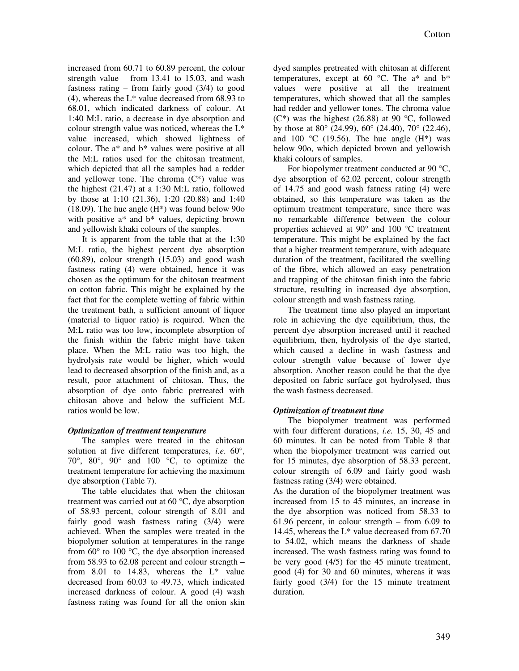increased from 60.71 to 60.89 percent, the colour strength value – from 13.41 to 15.03, and wash fastness rating – from fairly good  $(3/4)$  to good  $(4)$ , whereas the L<sup>\*</sup> value decreased from 68.93 to 68.01, which indicated darkness of colour. At 1:40 M:L ratio, a decrease in dye absorption and colour strength value was noticed, whereas the L\* value increased, which showed lightness of colour. The a\* and b\* values were positive at all the M:L ratios used for the chitosan treatment, which depicted that all the samples had a redder and yellower tone. The chroma  $(C^*)$  value was the highest (21.47) at a 1:30 M:L ratio, followed by those at 1:10 (21.36), 1:20 (20.88) and 1:40 (18.09). The hue angle (H\*) was found below 90o with positive a\* and b\* values, depicting brown and yellowish khaki colours of the samples.

It is apparent from the table that at the 1:30 M:L ratio, the highest percent dye absorption (60.89), colour strength (15.03) and good wash fastness rating (4) were obtained, hence it was chosen as the optimum for the chitosan treatment on cotton fabric. This might be explained by the fact that for the complete wetting of fabric within the treatment bath, a sufficient amount of liquor (material to liquor ratio) is required. When the M:L ratio was too low, incomplete absorption of the finish within the fabric might have taken place. When the M:L ratio was too high, the hydrolysis rate would be higher, which would lead to decreased absorption of the finish and, as a result, poor attachment of chitosan. Thus, the absorption of dye onto fabric pretreated with chitosan above and below the sufficient M:L ratios would be low.

### *Optimization of treatment temperature*

The samples were treated in the chitosan solution at five different temperatures, *i.e*. 60°, 70°, 80°, 90° and 100 °C, to optimize the treatment temperature for achieving the maximum dye absorption (Table 7).

The table elucidates that when the chitosan treatment was carried out at 60 °C, dye absorption of 58.93 percent, colour strength of 8.01 and fairly good wash fastness rating (3/4) were achieved. When the samples were treated in the biopolymer solution at temperatures in the range from  $60^{\circ}$  to  $100^{\circ}$ C, the dye absorption increased from 58.93 to 62.08 percent and colour strength – from 8.01 to 14.83, whereas the  $L^*$  value decreased from 60.03 to 49.73, which indicated increased darkness of colour. A good (4) wash fastness rating was found for all the onion skin

dyed samples pretreated with chitosan at different temperatures, except at 60  $^{\circ}$ C. The a\* and b\* values were positive at all the treatment temperatures, which showed that all the samples had redder and yellower tones. The chroma value  $(C^*)$  was the highest (26.88) at 90 °C, followed by those at 80 $^{\circ}$  (24.99), 60 $^{\circ}$  (24.40), 70 $^{\circ}$  (22.46), and 100 °C (19.56). The hue angle  $(H^*)$  was below 90o, which depicted brown and yellowish khaki colours of samples.

For biopolymer treatment conducted at 90 °C, dye absorption of 62.02 percent, colour strength of 14.75 and good wash fatness rating (4) were obtained, so this temperature was taken as the optimum treatment temperature, since there was no remarkable difference between the colour properties achieved at 90° and 100 °C treatment temperature. This might be explained by the fact that a higher treatment temperature, with adequate duration of the treatment, facilitated the swelling of the fibre, which allowed an easy penetration and trapping of the chitosan finish into the fabric structure, resulting in increased dye absorption, colour strength and wash fastness rating.

The treatment time also played an important role in achieving the dye equilibrium, thus, the percent dye absorption increased until it reached equilibrium, then, hydrolysis of the dye started, which caused a decline in wash fastness and colour strength value because of lower dye absorption. Another reason could be that the dye deposited on fabric surface got hydrolysed, thus the wash fastness decreased.

## *Optimization of treatment time*

The biopolymer treatment was performed with four different durations, *i.e.* 15, 30, 45 and 60 minutes. It can be noted from Table 8 that when the biopolymer treatment was carried out for 15 minutes, dye absorption of 58.33 percent, colour strength of 6.09 and fairly good wash fastness rating (3/4) were obtained.

As the duration of the biopolymer treatment was increased from 15 to 45 minutes, an increase in the dye absorption was noticed from 58.33 to 61.96 percent, in colour strength – from 6.09 to 14.45, whereas the L\* value decreased from 67.70 to 54.02, which means the darkness of shade increased. The wash fastness rating was found to be very good (4/5) for the 45 minute treatment, good (4) for 30 and 60 minutes, whereas it was fairly good  $(3/4)$  for the 15 minute treatment duration.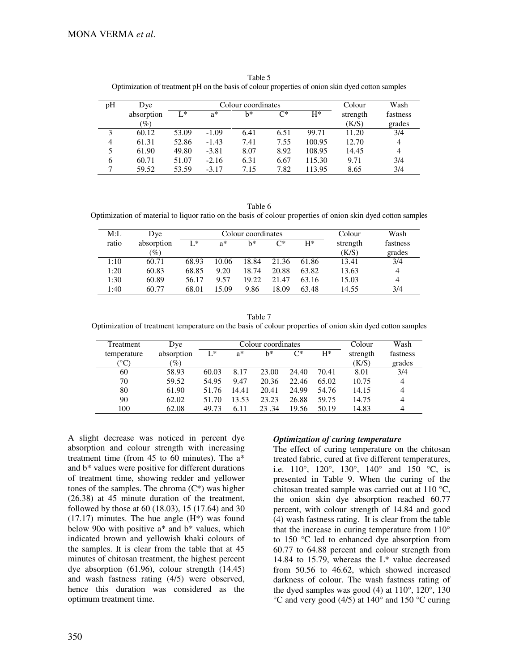| pH | Dye             |       |                               | Colour coordinates |      | Colour | Wash  |                |
|----|-----------------|-------|-------------------------------|--------------------|------|--------|-------|----------------|
|    | absorption      | $L^*$ | $C^*$<br>$H^*$<br>$a^*$<br>h* |                    |      |        |       | fastness       |
|    | $\mathscr{Y}_o$ |       |                               |                    |      |        | (K/S) | grades         |
| 3  | 60.12           | 53.09 | $-1.09$                       | 6.41               | 6.51 | 99.71  | 11.20 | 3/4            |
| 4  | 61.31           | 52.86 | $-1.43$                       | 7.41               | 7.55 | 100.95 | 12.70 | $\overline{4}$ |
| 5  | 61.90           | 49.80 | $-3.81$                       | 8.07               | 8.92 | 108.95 | 14.45 | 4              |
| 6  | 60.71           | 51.07 | $-2.16$                       | 6.31               | 6.67 | 115.30 | 9.71  | 3/4            |
| 7  | 59.52           | 53.59 | $-3.17$                       | 7.15               | 7.82 | 113.95 | 8.65  | 3/4            |

Table 5 Optimization of treatment pH on the basis of colour properties of onion skin dyed cotton samples

Table 6 Optimization of material to liquor ratio on the basis of colour properties of onion skin dyed cotton samples

| M:L   | Dye             |       |       | Colour coordinates |       | Colour | Wash     |          |
|-------|-----------------|-------|-------|--------------------|-------|--------|----------|----------|
| ratio | absorption      | $L^*$ | $a^*$ | h*                 | C*    | $H^*$  | strength | fastness |
|       | $\mathscr{G}_o$ |       |       |                    |       |        | (K/S)    | grades   |
| 1:10  | 60.71           | 68.93 | 10.06 | 18.84              | 21.36 | 61.86  | 13.41    | 3/4      |
| 1:20  | 60.83           | 68.85 | 9.20  | 18.74              | 20.88 | 63.82  | 13.63    | 4        |
| 1:30  | 60.89           | 56.17 | 9.57  | 19.22              | 21.47 | 63.16  | 15.03    | 4        |
| 1:40  | 60.77           | 68.01 | 15.09 | 9.86               | 18.09 | 63.48  | 14.55    | 3/4      |

Table 7 Optimization of treatment temperature on the basis of colour properties of onion skin dyed cotton samples

| Treatment       | Dye        |       | Colour coordinates |       |       |       |          | Wash     |
|-----------------|------------|-------|--------------------|-------|-------|-------|----------|----------|
| temperature     | absorption | $L^*$ | $a^*$              | h*    | C*    | $H^*$ | strength | fastness |
| $^\circ{\rm C}$ | $(\%)$     |       |                    |       |       |       | (K/S)    | grades   |
| 60              | 58.93      | 60.03 | 8.17               | 23.00 | 24.40 | 70.41 | 8.01     | 3/4      |
| 70              | 59.52      | 54.95 | 9.47               | 20.36 | 22.46 | 65.02 | 10.75    | 4        |
| 80              | 61.90      | 51.76 | 14.41              | 20.41 | 24.99 | 54.76 | 14.15    | 4        |
| 90              | 62.02      | 51.70 | 13.53              | 23.23 | 26.88 | 59.75 | 14.75    | 4        |
| 100             | 62.08      | 49.73 | 6.11               | 23.34 | 19.56 | 50.19 | 14.83    | 4        |

A slight decrease was noticed in percent dye absorption and colour strength with increasing treatment time (from 45 to 60 minutes). The a\* and b\* values were positive for different durations of treatment time, showing redder and yellower tones of the samples. The chroma  $(C^*)$  was higher (26.38) at 45 minute duration of the treatment, followed by those at 60 (18.03), 15 (17.64) and 30  $(17.17)$  minutes. The hue angle  $(H^*)$  was found below 90o with positive a\* and b\* values, which indicated brown and yellowish khaki colours of the samples. It is clear from the table that at 45 minutes of chitosan treatment, the highest percent dye absorption (61.96), colour strength (14.45) and wash fastness rating (4/5) were observed, hence this duration was considered as the optimum treatment time.

### *Optimization of curing temperature*

The effect of curing temperature on the chitosan treated fabric, cured at five different temperatures, i.e.  $110^{\circ}$ ,  $120^{\circ}$ ,  $130^{\circ}$ ,  $140^{\circ}$  and  $150^{\circ}$ C, is presented in Table 9. When the curing of the chitosan treated sample was carried out at 110 °C, the onion skin dye absorption reached 60.77 percent, with colour strength of 14.84 and good (4) wash fastness rating. It is clear from the table that the increase in curing temperature from 110° to 150 °C led to enhanced dye absorption from 60.77 to 64.88 percent and colour strength from 14.84 to 15.79, whereas the  $L^*$  value decreased from 50.56 to 46.62, which showed increased darkness of colour. The wash fastness rating of the dyed samples was good  $(4)$  at  $110^{\circ}$ ,  $120^{\circ}$ ,  $130$  $\rm{°C}$  and very good (4/5) at 140 $\rm{°}$  and 150  $\rm{°C}$  curing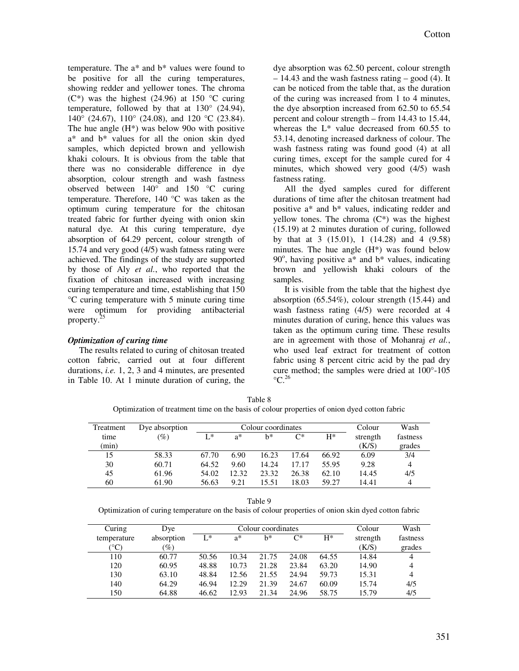temperature. The a\* and b\* values were found to be positive for all the curing temperatures, showing redder and yellower tones. The chroma  $(C^*)$  was the highest (24.96) at 150 °C curing temperature, followed by that at  $130^{\circ}$  (24.94), 140 $\degree$  (24.67), 110 $\degree$  (24.08), and 120  $\degree$ C (23.84). The hue angle (H\*) was below 90o with positive a\* and b\* values for all the onion skin dyed samples, which depicted brown and yellowish khaki colours. It is obvious from the table that there was no considerable difference in dye absorption, colour strength and wash fastness observed between 140° and 150 °C curing temperature. Therefore, 140 °C was taken as the optimum curing temperature for the chitosan treated fabric for further dyeing with onion skin natural dye. At this curing temperature, dye absorption of 64.29 percent, colour strength of 15.74 and very good (4/5) wash fatness rating were achieved. The findings of the study are supported by those of Aly *et al.*, who reported that the fixation of chitosan increased with increasing curing temperature and time, establishing that 150 °C curing temperature with 5 minute curing time were optimum for providing antibacterial property.<sup>25</sup> 

## *Optimization of curing time*

The results related to curing of chitosan treated cotton fabric, carried out at four different durations, *i.e.* 1, 2, 3 and 4 minutes, are presented in Table 10. At 1 minute duration of curing, the

dye absorption was 62.50 percent, colour strength – 14.43 and the wash fastness rating – good (4). It can be noticed from the table that, as the duration of the curing was increased from 1 to 4 minutes, the dye absorption increased from 62.50 to 65.54 percent and colour strength – from 14.43 to 15.44, whereas the L\* value decreased from 60.55 to 53.14, denoting increased darkness of colour. The wash fastness rating was found good (4) at all curing times, except for the sample cured for 4 minutes, which showed very good (4/5) wash fastness rating.

All the dyed samples cured for different durations of time after the chitosan treatment had positive a\* and b\* values, indicating redder and yellow tones. The chroma  $(C^*)$  was the highest (15.19) at 2 minutes duration of curing, followed by that at 3 (15.01), 1 (14.28) and 4 (9.58) minutes. The hue angle (H\*) was found below 90 $^{\circ}$ , having positive a\* and b\* values, indicating brown and yellowish khaki colours of the samples.

It is visible from the table that the highest dye absorption (65.54%), colour strength (15.44) and wash fastness rating (4/5) were recorded at 4 minutes duration of curing, hence this values was taken as the optimum curing time. These results are in agreement with those of Mohanraj *et al.*, who used leaf extract for treatment of cotton fabric using 8 percent citric acid by the pad dry cure method; the samples were dried at 100°-105  $\mathrm{^{\circ}C}$ <sup>26</sup>

Table 8 Optimization of treatment time on the basis of colour properties of onion dyed cotton fabric

| Treatment | Dye absorption  |       |       | Colour coordinates | Colour | Wash  |          |          |
|-----------|-----------------|-------|-------|--------------------|--------|-------|----------|----------|
| time      | $\mathscr{C}_o$ | L*    | a*    | h*                 | $C^*$  | $H^*$ | strength | fastness |
| (min)     |                 |       |       |                    |        |       | (K/S)    | grades   |
| 15        | 58.33           | 67.70 | 6.90  | 16.23              | 17.64  | 66.92 | 6.09     | 3/4      |
| 30        | 60.71           | 64.52 | 9.60  | 14.24              | 17.17  | 55.95 | 9.28     | 4        |
| 45        | 61.96           | 54.02 | 12.32 | 23.32              | 26.38  | 62.10 | 14.45    | 4/5      |
| 60        | 61.90           | 56.63 | 9.21  | 15.51              | 18.03  | 59.27 | 14.41    | 4        |

Table 9

Optimization of curing temperature on the basis of colour properties of onion skin dyed cotton fabric

| Curing               | Dye             |       |       | Colour coordinates |       | Colour | Wash     |                |
|----------------------|-----------------|-------|-------|--------------------|-------|--------|----------|----------------|
| temperature          | absorption      | $L^*$ | $a^*$ | h*                 | $C^*$ | $H^*$  | strength | fastness       |
| $^{\circ}\mathrm{C}$ | $\mathscr{D}_o$ |       |       |                    |       |        | (K/S)    | grades         |
| 110                  | 60.77           | 50.56 | 10.34 | 21.75              | 24.08 | 64.55  | 14.84    | 4              |
| 120                  | 60.95           | 48.88 | 10.73 | 21.28              | 23.84 | 63.20  | 14.90    | 4              |
| 130                  | 63.10           | 48.84 | 12.56 | 21.55              | 24.94 | 59.73  | 15.31    | $\overline{4}$ |
| 140                  | 64.29           | 46.94 | 12.29 | 21.39              | 24.67 | 60.09  | 15.74    | 4/5            |
| 150                  | 64.88           | 46.62 | 12.93 | 21.34              | 24.96 | 58.75  | 15.79    | 4/5            |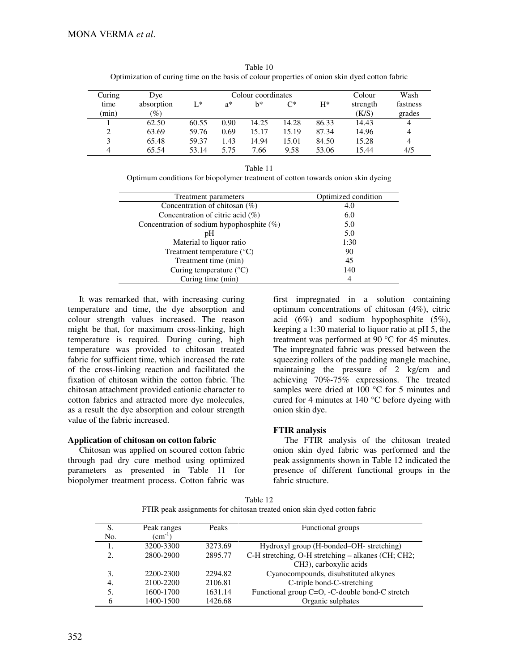| Curing         | Dye        |       |       | Colour coordinates |       |       | Colour   | Wash     |
|----------------|------------|-------|-------|--------------------|-------|-------|----------|----------|
| time           | absorption | $L^*$ | $a^*$ | h*                 | C*    | $H^*$ | strength | fastness |
| (min)          | $(\%)$     |       |       |                    |       |       | (K/S)    | grades   |
|                | 62.50      | 60.55 | 0.90  | 14.25              | 14.28 | 86.33 | 14.43    | 4        |
| 2              | 63.69      | 59.76 | 0.69  | 15.17              | 15.19 | 87.34 | 14.96    | 4        |
| 3              | 65.48      | 59.37 | 1.43  | 14.94              | 15.01 | 84.50 | 15.28    | 4        |
| $\overline{4}$ | 65.54      | 53.14 | 5.75  | 7.66               | 9.58  | 53.06 | 15.44    | 4/5      |

Table 10 Optimization of curing time on the basis of colour properties of onion skin dyed cotton fabric

Table 11 Optimum conditions for biopolymer treatment of cotton towards onion skin dyeing

| Treatment parameters                         | Optimized condition |
|----------------------------------------------|---------------------|
| Concentration of chitosan (%)                | 4.0                 |
| Concentration of citric acid $(\%)$          | 6.0                 |
| Concentration of sodium hypophosphite $(\%)$ | 5.0                 |
| pΗ                                           | 5.0                 |
| Material to liquor ratio                     | 1:30                |
| Treatment temperature (°C)                   | 90                  |
| Treatment time (min)                         | 45                  |
| Curing temperature $(^{\circ}C)$             | 140                 |
| Curing time (min)                            | 4                   |

It was remarked that, with increasing curing temperature and time, the dye absorption and colour strength values increased. The reason might be that, for maximum cross-linking, high temperature is required. During curing, high temperature was provided to chitosan treated fabric for sufficient time, which increased the rate of the cross-linking reaction and facilitated the fixation of chitosan within the cotton fabric. The chitosan attachment provided cationic character to cotton fabrics and attracted more dye molecules, as a result the dye absorption and colour strength value of the fabric increased.

### **Application of chitosan on cotton fabric**

Chitosan was applied on scoured cotton fabric through pad dry cure method using optimized parameters as presented in Table 11 for biopolymer treatment process. Cotton fabric was

first impregnated in a solution containing optimum concentrations of chitosan (4%), citric acid  $(6\%)$  and sodium hypophosphite  $(5\%)$ , keeping a 1:30 material to liquor ratio at pH 5, the treatment was performed at 90 °C for 45 minutes. The impregnated fabric was pressed between the squeezing rollers of the padding mangle machine, maintaining the pressure of 2 kg/cm and achieving 70%-75% expressions. The treated samples were dried at 100 °C for 5 minutes and cured for 4 minutes at 140 °C before dyeing with onion skin dye.

### **FTIR analysis**

The FTIR analysis of the chitosan treated onion skin dyed fabric was performed and the peak assignments shown in Table 12 indicated the presence of different functional groups in the fabric structure.

| Table 12                                                                 |
|--------------------------------------------------------------------------|
| FTIR peak assignments for chitosan treated onion skin dyed cotton fabric |

| S.  | Peak ranges                 | Peaks   | Functional groups                                  |
|-----|-----------------------------|---------|----------------------------------------------------|
| No. | $\rm \left( cm^{-1}\right)$ |         |                                                    |
|     | 3200-3300                   | 3273.69 | Hydroxyl group (H-bonded–OH- stretching)           |
|     | 2800-2900                   | 2895.77 | C-H stretching, O-H stretching - alkanes (CH; CH2; |
|     |                             |         | CH <sub>3</sub> ), carboxylic acids                |
| 3.  | 2200-2300                   | 2294.82 | Cyanocompounds, disubstituted alkynes              |
| 4.  | 2100-2200                   | 2106.81 | C-triple bond-C-stretching                         |
| 5.  | 1600-1700                   | 1631.14 | Functional group C=O, -C-double bond-C stretch     |
|     | 1400-1500                   | 1426.68 | Organic sulphates                                  |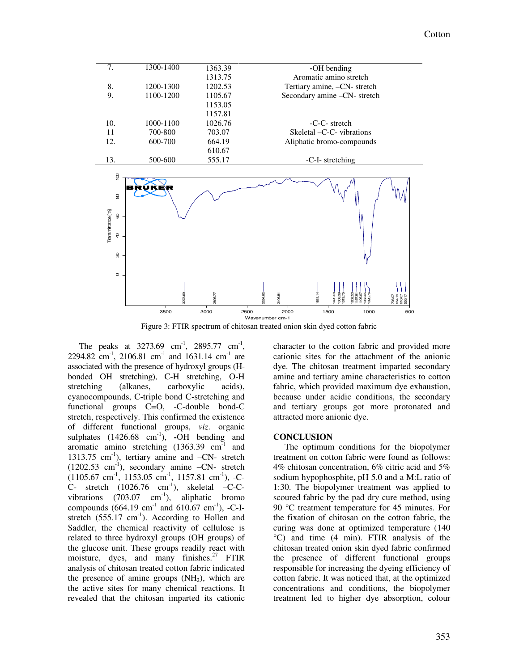

Figure 3: FTIR spectrum of chitosan treated onion skin dyed cotton fabric

The peaks at  $3273.69$  cm<sup>-1</sup>, 2895.77 cm<sup>-1</sup>, 2294.82 cm<sup>-1</sup>, 2106.81 cm<sup>-1</sup> and 1631.14 cm<sup>-1</sup> are associated with the presence of hydroxyl groups (Hbonded OH stretching), C-H stretching, O-H stretching (alkanes, carboxylic acids), cyanocompounds, C-triple bond C-stretching and functional groups C=O, -C-double bond-C stretch, respectively. This confirmed the existence of different functional groups, *viz*. organic sulphates (1426.68 cm<sup>-1</sup>), -OH bending and aromatic amino stretching (1363.39 cm<sup>-1</sup> and 1313.75 cm<sup>-1</sup>), tertiary amine and  $-CN$ - stretch  $(1202.53 \text{ cm}^{-1})$ , secondary amine  $-\text{CN}$ - stretch  $(1105.67 \text{ cm}^3, 1153.05 \text{ cm}^3, 1157.81 \text{ cm}^3), -C-$ C- stretch  $(1026.76 \text{ cm}^{-1})$ , skeletal -C-Cvibrations  $(703.07 \text{ cm}^{-1})$ , aliphatic bromo compounds  $(664.19 \text{ cm}^{-1} \text{ and } 610.67 \text{ cm}^{-1})$ , -C-Istretch  $(555.17 \text{ cm}^{-1})$ . According to Hollen and Saddler, the chemical reactivity of cellulose is related to three hydroxyl groups (OH groups) of the glucose unit. These groups readily react with moisture, dyes, and many finishes.<sup>27</sup> FTIR analysis of chitosan treated cotton fabric indicated the presence of amine groups  $(NH<sub>2</sub>)$ , which are the active sites for many chemical reactions. It revealed that the chitosan imparted its cationic

character to the cotton fabric and provided more cationic sites for the attachment of the anionic dye. The chitosan treatment imparted secondary amine and tertiary amine characteristics to cotton fabric, which provided maximum dye exhaustion, because under acidic conditions, the secondary and tertiary groups got more protonated and attracted more anionic dye.

#### **CONCLUSION**

The optimum conditions for the biopolymer treatment on cotton fabric were found as follows: 4% chitosan concentration, 6% citric acid and 5% sodium hypophosphite, pH 5.0 and a M:L ratio of 1:30. The biopolymer treatment was applied to scoured fabric by the pad dry cure method, using 90 °C treatment temperature for 45 minutes. For the fixation of chitosan on the cotton fabric, the curing was done at optimized temperature (140 °C) and time (4 min). FTIR analysis of the chitosan treated onion skin dyed fabric confirmed the presence of different functional groups responsible for increasing the dyeing efficiency of cotton fabric. It was noticed that, at the optimized concentrations and conditions, the biopolymer treatment led to higher dye absorption, colour